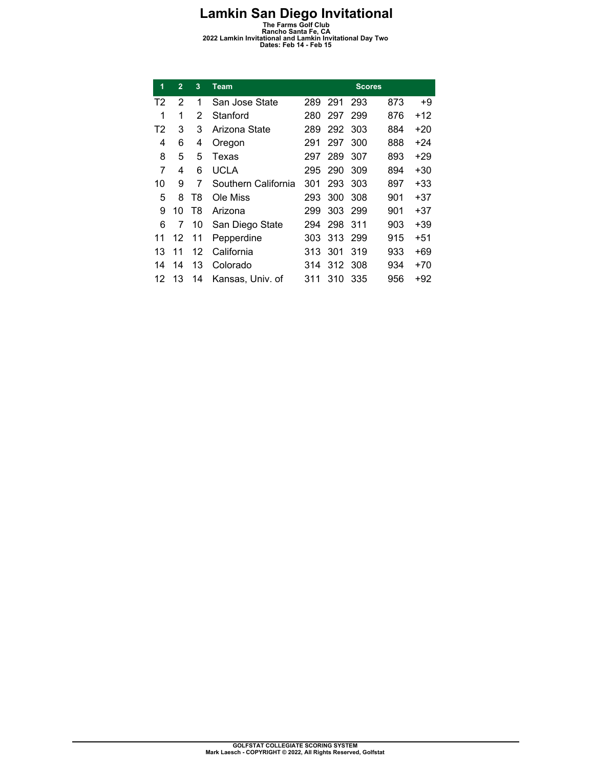**Lamkin San Diego Invitational**<br>
The Farms Golf Club<br>
Rancho Santa Fe, CA<br> **2022 Lamkin Invitational and Lamkin Invitational Day Two**<br>
Dates: Feb 14 - Feb 15

| 1              | $\overline{2}$ | 3  | Team                |     |     | <b>Scores</b> |     |       |
|----------------|----------------|----|---------------------|-----|-----|---------------|-----|-------|
| T2             | 2              | 1  | San Jose State      | 289 | 291 | 293           | 873 | +9    |
| 1              | 1              | 2  | Stanford            | 280 | 297 | 299           | 876 | +12   |
| T <sub>2</sub> | 3              | 3  | Arizona State       | 289 | 292 | 303           | 884 | $+20$ |
| 4              | 6              | 4  | Oregon              | 291 | 297 | 300           | 888 | $+24$ |
| 8              | 5              | 5  | Texas               | 297 | 289 | 307           | 893 | $+29$ |
| 7              | 4              | 6  | <b>UCLA</b>         | 295 | 290 | 309           | 894 | $+30$ |
| 10             | 9              | 7  | Southern California | 301 | 293 | 303           | 897 | +33   |
| 5              | 8              | T8 | Ole Miss            | 293 | 300 | 308           | 901 | $+37$ |
| 9              | 10             | T8 | Arizona             | 299 | 303 | 299           | 901 | +37   |
| 6              | 7              | 10 | San Diego State     | 294 | 298 | 311           | 903 | +39   |
| 11             | 12             | 11 | Pepperdine          | 303 | 313 | 299           | 915 | $+51$ |
| 13             | 11             | 12 | California          | 313 | 301 | 319           | 933 | +69   |
| 14             | 14             | 13 | Colorado            | 314 | 312 | 308           | 934 | $+70$ |
| 12             | 13             | 14 | Kansas, Univ. of    | 311 | 310 | 335           | 956 | +92   |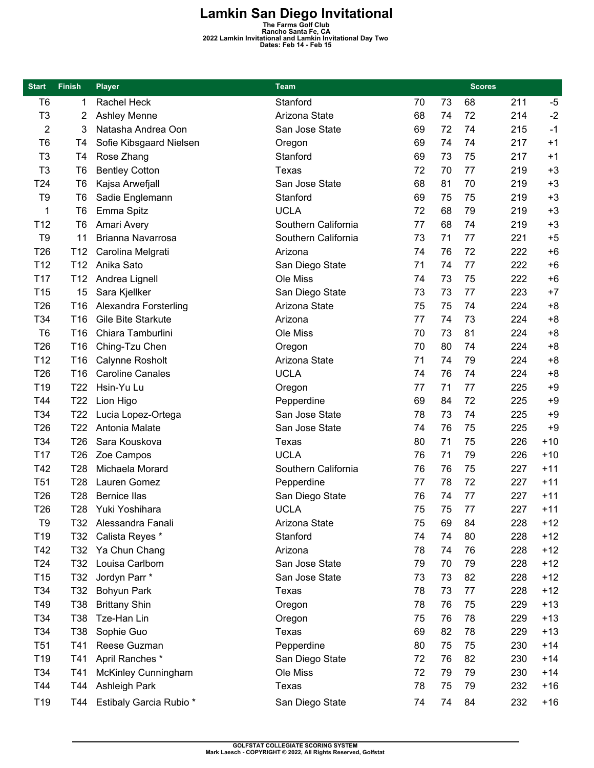**Lamkin San Diego Invitational**<br>
The Farms Golf Club<br>
Rancho Santa Fe, CA<br> **2022 Lamkin Invitational and Lamkin Invitational Day Two**<br>
Dates: Feb 14 - Feb 15

| <b>Start</b>    | <b>Finish</b>   | <b>Player</b>                  | <b>Team</b>         |    |    |    | <b>Scores</b> |       |
|-----------------|-----------------|--------------------------------|---------------------|----|----|----|---------------|-------|
| T <sub>6</sub>  | 1               | Rachel Heck                    | Stanford            | 70 | 73 | 68 | 211           | $-5$  |
| T <sub>3</sub>  | 2               | <b>Ashley Menne</b>            | Arizona State       | 68 | 74 | 72 | 214           | $-2$  |
| $\overline{2}$  | 3               | Natasha Andrea Oon             | San Jose State      | 69 | 72 | 74 | 215           | $-1$  |
| T <sub>6</sub>  | T4              | Sofie Kibsgaard Nielsen        | Oregon              | 69 | 74 | 74 | 217           | $+1$  |
| T <sub>3</sub>  | T <sub>4</sub>  | Rose Zhang                     | Stanford            | 69 | 73 | 75 | 217           | $+1$  |
| T <sub>3</sub>  | T <sub>6</sub>  | <b>Bentley Cotton</b>          | Texas               | 72 | 70 | 77 | 219           | $+3$  |
| T24             | T <sub>6</sub>  | Kajsa Arwefjall                | San Jose State      | 68 | 81 | 70 | 219           | $+3$  |
| T <sub>9</sub>  | T <sub>6</sub>  | Sadie Englemann                | Stanford            | 69 | 75 | 75 | 219           | $+3$  |
| 1               | T <sub>6</sub>  | Emma Spitz                     | <b>UCLA</b>         | 72 | 68 | 79 | 219           | $+3$  |
| T <sub>12</sub> | T <sub>6</sub>  | Amari Avery                    | Southern California | 77 | 68 | 74 | 219           | $+3$  |
| T <sub>9</sub>  | 11              | Brianna Navarrosa              | Southern California | 73 | 71 | 77 | 221           | $+5$  |
| T <sub>26</sub> | T <sub>12</sub> | Carolina Melgrati              | Arizona             | 74 | 76 | 72 | 222           | $+6$  |
| T <sub>12</sub> | T <sub>12</sub> | Anika Sato                     | San Diego State     | 71 | 74 | 77 | 222           | $+6$  |
| T <sub>17</sub> | T <sub>12</sub> | Andrea Lignell                 | Ole Miss            | 74 | 73 | 75 | 222           | $+6$  |
| T <sub>15</sub> | 15              | Sara Kjellker                  | San Diego State     | 73 | 73 | 77 | 223           | $+7$  |
| T <sub>26</sub> | T <sub>16</sub> | Alexandra Forsterling          | Arizona State       | 75 | 75 | 74 | 224           | $+8$  |
| T34             | T <sub>16</sub> | Gile Bite Starkute             | Arizona             | 77 | 74 | 73 | 224           | $+8$  |
| T <sub>6</sub>  | T <sub>16</sub> | Chiara Tamburlini              | Ole Miss            | 70 | 73 | 81 | 224           | $+8$  |
| T <sub>26</sub> | T16             | Ching-Tzu Chen                 | Oregon              | 70 | 80 | 74 | 224           | $+8$  |
| T <sub>12</sub> | T <sub>16</sub> | Calynne Rosholt                | Arizona State       | 71 | 74 | 79 | 224           | $+8$  |
| T <sub>26</sub> | T <sub>16</sub> | <b>Caroline Canales</b>        | <b>UCLA</b>         | 74 | 76 | 74 | 224           | $+8$  |
| T <sub>19</sub> | T22             | Hsin-Yu Lu                     | Oregon              | 77 | 71 | 77 | 225           | $+9$  |
| T44             | T <sub>22</sub> | Lion Higo                      | Pepperdine          | 69 | 84 | 72 | 225           | $+9$  |
| T34             | T <sub>22</sub> | Lucia Lopez-Ortega             | San Jose State      | 78 | 73 | 74 | 225           | $+9$  |
| T <sub>26</sub> | T22             | Antonia Malate                 | San Jose State      | 74 | 76 | 75 | 225           | $+9$  |
| T34             | T <sub>26</sub> | Sara Kouskova                  | Texas               | 80 | 71 | 75 | 226           | $+10$ |
| T <sub>17</sub> | T <sub>26</sub> | Zoe Campos                     | <b>UCLA</b>         | 76 | 71 | 79 | 226           | $+10$ |
| T42             | T28             | Michaela Morard                | Southern California | 76 | 76 | 75 | 227           | $+11$ |
| T <sub>51</sub> | T <sub>28</sub> | Lauren Gomez                   | Pepperdine          | 77 | 78 | 72 | 227           | $+11$ |
| T <sub>26</sub> | T <sub>28</sub> | <b>Bernice llas</b>            | San Diego State     | 76 | 74 | 77 | 227           | $+11$ |
| T <sub>26</sub> | T28             | Yuki Yoshihara                 | <b>UCLA</b>         | 75 | 75 | 77 | 227           | $+11$ |
| T <sub>9</sub>  | T32             | Alessandra Fanali              | Arizona State       | 75 | 69 | 84 | 228           | $+12$ |
| T <sub>19</sub> | T32             | Calista Reyes *                | Stanford            | 74 | 74 | 80 | 228           | $+12$ |
| T42             | T32             | Ya Chun Chang                  | Arizona             | 78 | 74 | 76 | 228           | $+12$ |
| T <sub>24</sub> | T32             | Louisa Carlbom                 | San Jose State      | 79 | 70 | 79 | 228           | $+12$ |
| T <sub>15</sub> | T32             | Jordyn Parr *                  | San Jose State      | 73 | 73 | 82 | 228           | $+12$ |
| T34             | T32             | Bohyun Park                    | Texas               | 78 | 73 | 77 | 228           | $+12$ |
| T49             | T38             | <b>Brittany Shin</b>           | Oregon              | 78 | 76 | 75 | 229           | $+13$ |
| T34             | T38             | Tze-Han Lin                    | Oregon              | 75 | 76 | 78 | 229           | $+13$ |
| T34             | T38             | Sophie Guo                     | Texas               | 69 | 82 | 78 | 229           | $+13$ |
| T <sub>51</sub> | T41             | Reese Guzman                   | Pepperdine          | 80 | 75 | 75 | 230           | $+14$ |
| T <sub>19</sub> | T41             | April Ranches *                | San Diego State     | 72 | 76 | 82 | 230           | $+14$ |
| T34             | T41             | <b>McKinley Cunningham</b>     | Ole Miss            | 72 | 79 | 79 | 230           | $+14$ |
| T44             | T44             | Ashleigh Park                  | Texas               | 78 | 75 | 79 | 232           | $+16$ |
| T <sub>19</sub> | T44             | <b>Estibaly Garcia Rubio *</b> | San Diego State     | 74 | 74 | 84 | 232           | $+16$ |